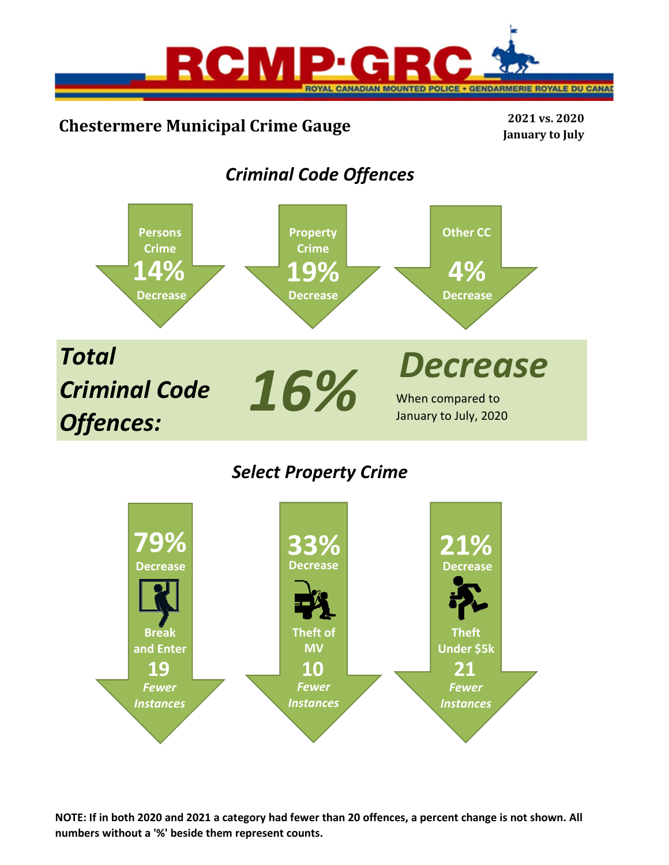

# **Chestermere Municipal Crime Gauge <sup>2021</sup> vs. <sup>2020</sup>**

**January to July**

## *Criminal Code Offences*



## *Select Property Crime*



**NOTE: If in both 2020 and 2021 a category had fewer than 20 offences, a percent change is not shown. All numbers without a '%' beside them represent counts.**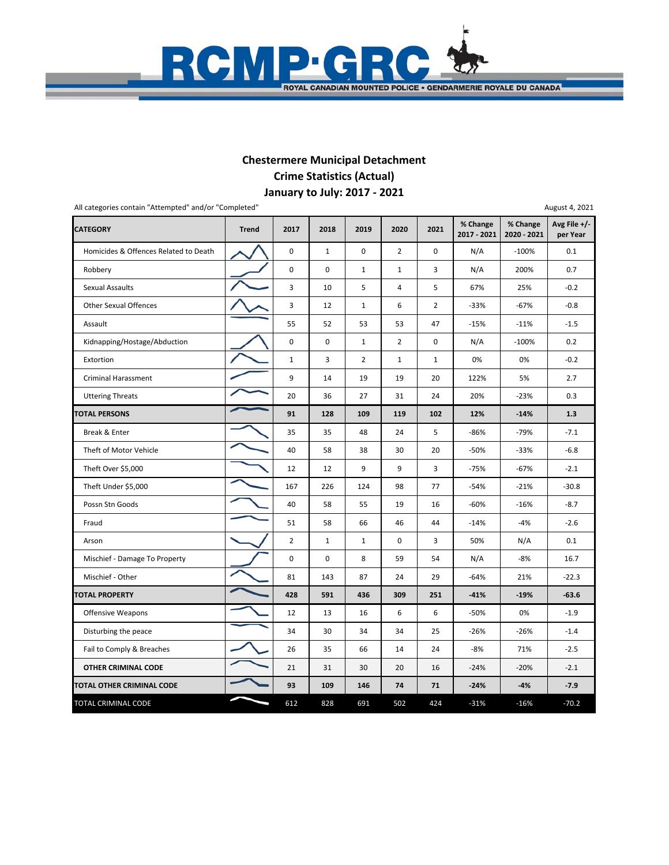

## **January to July: 2017 ‐ 2021 Chestermere Municipal Detachment Crime Statistics (Actual)**

| All categories contain "Attempted" and/or "Completed" |              |                     |             |                |                |                |                         |                         | August 4, 2021           |
|-------------------------------------------------------|--------------|---------------------|-------------|----------------|----------------|----------------|-------------------------|-------------------------|--------------------------|
| <b>CATEGORY</b>                                       | <b>Trend</b> | 2017                | 2018        | 2019           | 2020           | 2021           | % Change<br>2017 - 2021 | % Change<br>2020 - 2021 | Avg File +/-<br>per Year |
| Homicides & Offences Related to Death                 |              | $\mathsf{O}\xspace$ | $\mathbf 1$ | $\mathbf 0$    | $\overline{2}$ | 0              | N/A                     | $-100%$                 | 0.1                      |
| Robbery                                               |              | 0                   | 0           | $\mathbf{1}$   | $\mathbf{1}$   | 3              | N/A                     | 200%                    | 0.7                      |
| <b>Sexual Assaults</b>                                |              | 3                   | 10          | 5              | 4              | 5              | 67%                     | 25%                     | $-0.2$                   |
| <b>Other Sexual Offences</b>                          |              | 3                   | 12          | $\mathbf 1$    | 6              | $\overline{2}$ | $-33%$                  | $-67%$                  | $-0.8$                   |
| Assault                                               |              | 55                  | 52          | 53             | 53             | 47             | $-15%$                  | $-11%$                  | $-1.5$                   |
| Kidnapping/Hostage/Abduction                          |              | 0                   | 0           | $\mathbf{1}$   | $\overline{2}$ | $\mathbf 0$    | N/A                     | $-100%$                 | 0.2                      |
| Extortion                                             |              | $\mathbf{1}$        | 3           | $\overline{2}$ | $\mathbf{1}$   | $\mathbf{1}$   | 0%                      | 0%                      | $-0.2$                   |
| <b>Criminal Harassment</b>                            |              | 9                   | 14          | 19             | 19             | 20             | 122%                    | 5%                      | 2.7                      |
| <b>Uttering Threats</b>                               |              | 20                  | 36          | 27             | 31             | 24             | 20%                     | $-23%$                  | 0.3                      |
| <b>TOTAL PERSONS</b>                                  |              | 91                  | 128         | 109            | 119            | 102            | 12%                     | $-14%$                  | 1.3                      |
| Break & Enter                                         |              | 35                  | 35          | 48             | 24             | 5              | $-86%$                  | $-79%$                  | $-7.1$                   |
| Theft of Motor Vehicle                                |              | 40                  | 58          | 38             | 30             | 20             | $-50%$                  | $-33%$                  | $-6.8$                   |
| Theft Over \$5,000                                    |              | 12                  | 12          | 9              | 9              | 3              | $-75%$                  | -67%                    | $-2.1$                   |
| Theft Under \$5,000                                   |              | 167                 | 226         | 124            | 98             | 77             | $-54%$                  | $-21%$                  | $-30.8$                  |
| Possn Stn Goods                                       |              | 40                  | 58          | 55             | 19             | 16             | $-60%$                  | $-16%$                  | $-8.7$                   |
| Fraud                                                 |              | 51                  | 58          | 66             | 46             | 44             | $-14%$                  | $-4%$                   | $-2.6$                   |
| Arson                                                 |              | $\overline{2}$      | $\mathbf 1$ | $\mathbf{1}$   | $\pmb{0}$      | 3              | 50%                     | N/A                     | 0.1                      |
| Mischief - Damage To Property                         |              | $\mathbf 0$         | $\mathbf 0$ | 8              | 59             | 54             | N/A                     | $-8%$                   | 16.7                     |
| Mischief - Other                                      |              | 81                  | 143         | 87             | 24             | 29             | $-64%$                  | 21%                     | $-22.3$                  |
| <b>TOTAL PROPERTY</b>                                 |              | 428                 | 591         | 436            | 309            | 251            | $-41%$                  | $-19%$                  | $-63.6$                  |
| Offensive Weapons                                     |              | 12                  | 13          | 16             | 6              | 6              | $-50%$                  | 0%                      | $-1.9$                   |
| Disturbing the peace                                  |              | 34                  | 30          | 34             | 34             | 25             | $-26%$                  | $-26%$                  | $-1.4$                   |
| Fail to Comply & Breaches                             |              | 26                  | 35          | 66             | 14             | 24             | $-8%$                   | 71%                     | $-2.5$                   |
| <b>OTHER CRIMINAL CODE</b>                            |              | 21                  | 31          | 30             | 20             | 16             | $-24%$                  | $-20%$                  | $-2.1$                   |
| TOTAL OTHER CRIMINAL CODE                             |              | 93                  | 109         | 146            | 74             | 71             | $-24%$                  | $-4%$                   | $-7.9$                   |
| TOTAL CRIMINAL CODE                                   |              | 612                 | 828         | 691            | 502            | 424            | $-31%$                  | $-16%$                  | $-70.2$                  |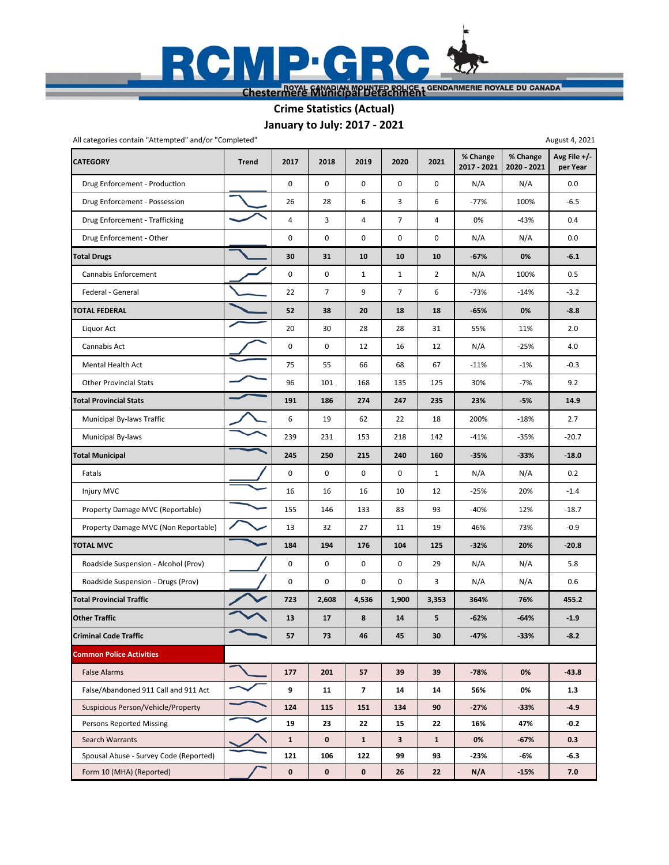

**Crime Statistics (Actual)**

**January to July: 2017 ‐ 2021**

| All categories contain "Attempted" and/or "Completed" |              |              |       |                |                |                |                         |                         | August 4, 2021           |
|-------------------------------------------------------|--------------|--------------|-------|----------------|----------------|----------------|-------------------------|-------------------------|--------------------------|
| <b>CATEGORY</b>                                       | <b>Trend</b> | 2017         | 2018  | 2019           | 2020           | 2021           | % Change<br>2017 - 2021 | % Change<br>2020 - 2021 | Avg File +/-<br>per Year |
| Drug Enforcement - Production                         |              | $\pmb{0}$    | 0     | 0              | 0              | 0              | N/A                     | N/A                     | 0.0                      |
| Drug Enforcement - Possession                         |              | 26           | 28    | 6              | 3              | 6              | $-77%$                  | 100%                    | $-6.5$                   |
| Drug Enforcement - Trafficking                        |              | 4            | 3     | 4              | $\overline{7}$ | 4              | 0%                      | $-43%$                  | 0.4                      |
| Drug Enforcement - Other                              |              | $\pmb{0}$    | 0     | 0              | 0              | 0              | N/A                     | N/A                     | 0.0                      |
| <b>Total Drugs</b>                                    |              | 30           | 31    | 10             | 10             | 10             | $-67%$                  | 0%                      | $-6.1$                   |
| Cannabis Enforcement                                  |              | $\pmb{0}$    | 0     | $\mathbf{1}$   | $\mathbf{1}$   | $\overline{2}$ | N/A                     | 100%                    | 0.5                      |
| Federal - General                                     |              | 22           | 7     | 9              | $\overline{7}$ | 6              | $-73%$                  | $-14%$                  | $-3.2$                   |
| TOTAL FEDERAL                                         |              | 52           | 38    | 20             | 18             | 18             | $-65%$                  | 0%                      | $-8.8$                   |
| Liquor Act                                            |              | 20           | 30    | 28             | 28             | 31             | 55%                     | 11%                     | 2.0                      |
| Cannabis Act                                          |              | 0            | 0     | 12             | 16             | 12             | N/A                     | $-25%$                  | 4.0                      |
| Mental Health Act                                     |              | 75           | 55    | 66             | 68             | 67             | $-11%$                  | $-1%$                   | $-0.3$                   |
| <b>Other Provincial Stats</b>                         |              | 96           | 101   | 168            | 135            | 125            | 30%                     | $-7%$                   | 9.2                      |
| <b>Total Provincial Stats</b>                         |              | 191          | 186   | 274            | 247            | 235            | 23%                     | $-5%$                   | 14.9                     |
| Municipal By-laws Traffic                             |              | 6            | 19    | 62             | 22             | 18             | 200%                    | $-18%$                  | 2.7                      |
| Municipal By-laws                                     |              | 239          | 231   | 153            | 218            | 142            | $-41%$                  | $-35%$                  | $-20.7$                  |
| <b>Total Municipal</b>                                |              | 245          | 250   | 215            | 240            | 160            | $-35%$                  | $-33%$                  | $-18.0$                  |
| Fatals                                                |              | $\mathbf 0$  | 0     | 0              | 0              | $\mathbf{1}$   | N/A                     | N/A                     | 0.2                      |
| Injury MVC                                            |              | 16           | 16    | 16             | 10             | 12             | $-25%$                  | 20%                     | $-1.4$                   |
| Property Damage MVC (Reportable)                      |              | 155          | 146   | 133            | 83             | 93             | $-40%$                  | 12%                     | $-18.7$                  |
| Property Damage MVC (Non Reportable)                  |              | 13           | 32    | 27             | 11             | 19             | 46%                     | 73%                     | $-0.9$                   |
| <b>TOTAL MVC</b>                                      |              | 184          | 194   | 176            | 104            | 125            | $-32%$                  | 20%                     | $-20.8$                  |
| Roadside Suspension - Alcohol (Prov)                  |              | 0            | 0     | 0              | 0              | 29             | N/A                     | N/A                     | 5.8                      |
| Roadside Suspension - Drugs (Prov)                    |              | $\mathbf 0$  | 0     | 0              | 0              | 3              | N/A                     | N/A                     | 0.6                      |
| <b>Total Provincial Traffic</b>                       |              | 723          | 2,608 | 4,536          | 1,900          | 3,353          | 364%                    | 76%                     | 455.2                    |
| <b>Other Traffic</b>                                  |              | 13           | 17    | 8              | 14             | 5              | $-62%$                  | $-64%$                  | $-1.9$                   |
| <b>Criminal Code Traffic</b>                          |              | 57           | 73    | 46             | 45             | 30             | $-47%$                  | $-33%$                  | $-8.2$                   |
| <b>Common Police Activities</b>                       |              |              |       |                |                |                |                         |                         |                          |
| <b>False Alarms</b>                                   |              | 177          | 201   | 57             | 39             | 39             | $-78%$                  | 0%                      | $-43.8$                  |
| False/Abandoned 911 Call and 911 Act                  |              | 9            | 11    | $\overline{7}$ | 14             | 14             | 56%                     | 0%                      | 1.3                      |
| Suspicious Person/Vehicle/Property                    |              | 124          | 115   | 151            | 134            | 90             | $-27%$                  | $-33%$                  | $-4.9$                   |
| <b>Persons Reported Missing</b>                       |              | 19           | 23    | 22             | 15             | 22             | 16%                     | 47%                     | $-0.2$                   |
| Search Warrants                                       |              | $\mathbf{1}$ | 0     | $\mathbf{1}$   | $\mathbf{3}$   | $\mathbf{1}$   | 0%                      | $-67%$                  | 0.3                      |
| Spousal Abuse - Survey Code (Reported)                |              | 121          | 106   | 122            | 99             | 93             | $-23%$                  | -6%                     | $-6.3$                   |
| Form 10 (MHA) (Reported)                              |              | $\pmb{0}$    | 0     | $\mathbf 0$    | 26             | 22             | N/A                     | $-15%$                  | 7.0                      |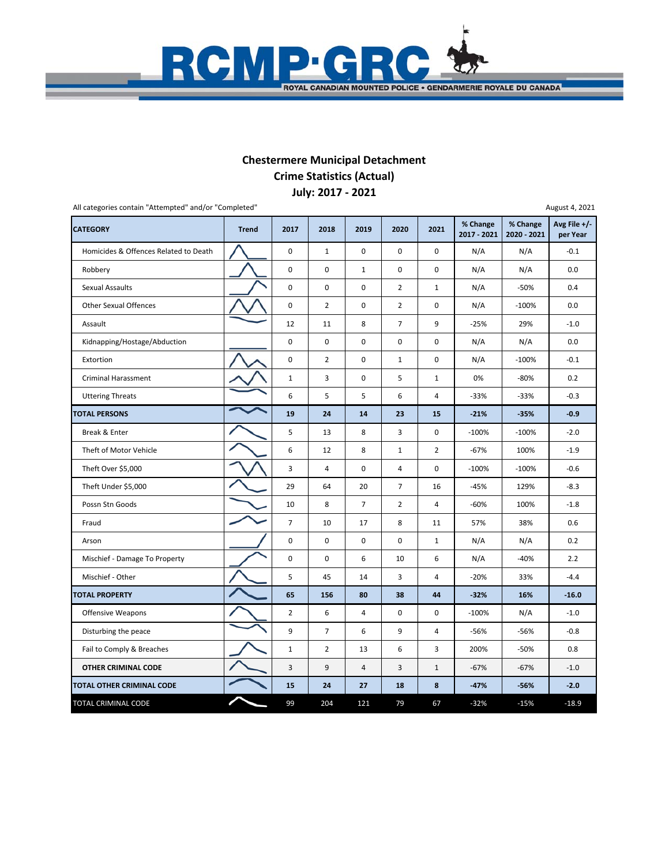

## **July: 2017 ‐ 2021 Chestermere Municipal Detachment Crime Statistics (Actual)**

| <b>CATEGORY</b>                       | <b>Trend</b> | 2017           | 2018           | 2019           | 2020                    | 2021                    | % Change<br>2017 - 2021 | % Change<br>2020 - 2021 | Avg File +/-<br>per Year |
|---------------------------------------|--------------|----------------|----------------|----------------|-------------------------|-------------------------|-------------------------|-------------------------|--------------------------|
| Homicides & Offences Related to Death |              | $\pmb{0}$      | $\mathbf{1}$   | $\mathbf 0$    | $\mathbf 0$             | $\mathbf 0$             | N/A                     | N/A                     | $-0.1$                   |
| Robbery                               |              | $\pmb{0}$      | 0              | $\mathbf{1}$   | $\pmb{0}$               | $\pmb{0}$               | N/A                     | N/A                     | 0.0                      |
| <b>Sexual Assaults</b>                |              | 0              | 0              | $\mathbf 0$    | $\overline{2}$          | $\mathbf{1}$            | N/A                     | -50%                    | 0.4                      |
| <b>Other Sexual Offences</b>          |              | $\pmb{0}$      | $\overline{2}$ | $\mathbf 0$    | $\overline{2}$          | $\pmb{0}$               | N/A                     | $-100%$                 | 0.0                      |
| Assault                               |              | 12             | 11             | 8              | $\overline{7}$          | 9                       | $-25%$                  | 29%                     | $-1.0$                   |
| Kidnapping/Hostage/Abduction          |              | $\pmb{0}$      | $\pmb{0}$      | $\pmb{0}$      | $\pmb{0}$               | 0                       | N/A                     | N/A                     | 0.0                      |
| Extortion                             |              | $\pmb{0}$      | $\overline{2}$ | $\mathbf 0$    | $\mathbf{1}$            | $\mathbf 0$             | N/A                     | $-100%$                 | $-0.1$                   |
| <b>Criminal Harassment</b>            |              | $\mathbf 1$    | 3              | $\mathsf 0$    | 5                       | $\mathbf{1}$            | 0%                      | $-80%$                  | 0.2                      |
| <b>Uttering Threats</b>               |              | 6              | 5              | 5              | 6                       | 4                       | $-33%$                  | $-33%$                  | $-0.3$                   |
| <b>TOTAL PERSONS</b>                  |              | 19             | 24             | 14             | 23                      | 15                      | $-21%$                  | $-35%$                  | $-0.9$                   |
| Break & Enter                         |              | 5              | 13             | 8              | 3                       | $\pmb{0}$               | $-100%$                 | $-100%$                 | $-2.0$                   |
| Theft of Motor Vehicle                |              | 6              | 12             | 8              | $\mathbf{1}$            | $\overline{2}$          | $-67%$                  | 100%                    | $-1.9$                   |
| Theft Over \$5,000                    |              | 3              | 4              | 0              | $\overline{\mathbf{4}}$ | 0                       | $-100%$                 | $-100%$                 | $-0.6$                   |
| Theft Under \$5,000                   |              | 29             | 64             | 20             | $\overline{7}$          | 16                      | $-45%$                  | 129%                    | $-8.3$                   |
| Possn Stn Goods                       |              | 10             | 8              | $\overline{7}$ | $\overline{2}$          | 4                       | $-60%$                  | 100%                    | $-1.8$                   |
| Fraud                                 |              | $\overline{7}$ | 10             | 17             | 8                       | 11                      | 57%                     | 38%                     | 0.6                      |
| Arson                                 |              | 0              | 0              | $\mathsf 0$    | $\pmb{0}$               | $\mathbf{1}$            | N/A                     | N/A                     | 0.2                      |
| Mischief - Damage To Property         |              | $\pmb{0}$      | $\pmb{0}$      | 6              | 10                      | 6                       | N/A                     | $-40%$                  | 2.2                      |
| Mischief - Other                      |              | 5              | 45             | 14             | 3                       | $\overline{4}$          | $-20%$                  | 33%                     | $-4.4$                   |
| <b>TOTAL PROPERTY</b>                 |              | 65             | 156            | 80             | 38                      | 44                      | $-32%$                  | 16%                     | $-16.0$                  |
| <b>Offensive Weapons</b>              |              | $\overline{2}$ | 6              | 4              | 0                       | $\mathbf 0$             | $-100%$                 | N/A                     | $-1.0$                   |
| Disturbing the peace                  |              | 9              | $\overline{7}$ | 6              | 9                       | $\overline{\mathbf{4}}$ | $-56%$                  | $-56%$                  | $-0.8$                   |
| Fail to Comply & Breaches             |              | $\mathbf 1$    | $\overline{2}$ | 13             | 6                       | 3                       | 200%                    | -50%                    | 0.8                      |
| OTHER CRIMINAL CODE                   |              | 3              | 9              | 4              | $\overline{3}$          | $\mathbf 1$             | $-67%$                  | $-67%$                  | $-1.0$                   |
| TOTAL OTHER CRIMINAL CODE             |              | 15             | 24             | 27             | 18                      | 8                       | $-47%$                  | $-56%$                  | $-2.0$                   |
| TOTAL CRIMINAL CODE                   |              | 99             | 204            | 121            | 79                      | 67                      | $-32%$                  | $-15%$                  | $-18.9$                  |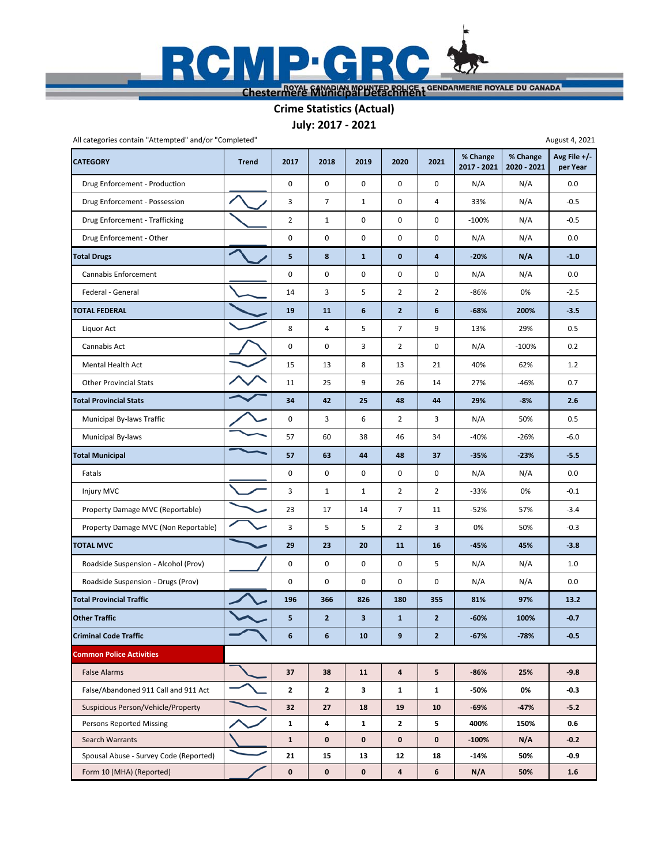

## **July: 2017 ‐ 2021 Crime Statistics (Actual)**

| All categories contain "Attempted" and/or "Completed"<br>August 4, 2021 |              |                |                |                         |                         |                |                         |                         |                          |  |  |
|-------------------------------------------------------------------------|--------------|----------------|----------------|-------------------------|-------------------------|----------------|-------------------------|-------------------------|--------------------------|--|--|
| <b>CATEGORY</b>                                                         | <b>Trend</b> | 2017           | 2018           | 2019                    | 2020                    | 2021           | % Change<br>2017 - 2021 | % Change<br>2020 - 2021 | Avg File +/-<br>per Year |  |  |
| Drug Enforcement - Production                                           |              | $\mathbf 0$    | $\mathbf 0$    | $\mathbf 0$             | $\pmb{0}$               | 0              | N/A                     | N/A                     | 0.0                      |  |  |
| Drug Enforcement - Possession                                           |              | 3              | $\overline{7}$ | $\mathbf{1}$            | 0                       | $\overline{4}$ | 33%                     | N/A                     | $-0.5$                   |  |  |
| Drug Enforcement - Trafficking                                          |              | $\overline{2}$ | $\mathbf{1}$   | 0                       | 0                       | 0              | $-100%$                 | N/A                     | $-0.5$                   |  |  |
| Drug Enforcement - Other                                                |              | $\mathbf 0$    | $\pmb{0}$      | $\mathbf 0$             | 0                       | 0              | N/A                     | N/A                     | 0.0                      |  |  |
| <b>Total Drugs</b>                                                      |              | 5              | 8              | $\mathbf{1}$            | $\mathbf 0$             | 4              | $-20%$                  | N/A                     | $-1.0$                   |  |  |
| <b>Cannabis Enforcement</b>                                             |              | $\pmb{0}$      | 0              | 0                       | 0                       | 0              | N/A                     | N/A                     | 0.0                      |  |  |
| Federal - General                                                       |              | 14             | 3              | 5                       | $\overline{2}$          | $\overline{2}$ | $-86%$                  | 0%                      | $-2.5$                   |  |  |
| <b>TOTAL FEDERAL</b>                                                    |              | 19             | 11             | 6                       | $\overline{2}$          | 6              | $-68%$                  | 200%                    | $-3.5$                   |  |  |
| Liquor Act                                                              |              | 8              | 4              | 5                       | $\overline{7}$          | 9              | 13%                     | 29%                     | 0.5                      |  |  |
| Cannabis Act                                                            |              | $\mathbf 0$    | 0              | 3                       | $\overline{2}$          | 0              | N/A                     | $-100%$                 | 0.2                      |  |  |
| Mental Health Act                                                       |              | 15             | 13             | 8                       | 13                      | 21             | 40%                     | 62%                     | 1.2                      |  |  |
| <b>Other Provincial Stats</b>                                           |              | 11             | 25             | 9                       | 26                      | 14             | 27%                     | $-46%$                  | 0.7                      |  |  |
| <b>Total Provincial Stats</b>                                           |              | 34             | 42             | 25                      | 48                      | 44             | 29%                     | $-8%$                   | 2.6                      |  |  |
| Municipal By-laws Traffic                                               |              | $\mathbf 0$    | 3              | 6                       | $\overline{2}$          | 3              | N/A                     | 50%                     | 0.5                      |  |  |
| Municipal By-laws                                                       |              | 57             | 60             | 38                      | 46                      | 34             | $-40%$                  | $-26%$                  | $-6.0$                   |  |  |
| <b>Total Municipal</b>                                                  |              | 57             | 63             | 44                      | 48                      | 37             | $-35%$                  | $-23%$                  | $-5.5$                   |  |  |
| Fatals                                                                  |              | $\mathbf 0$    | 0              | 0                       | 0                       | 0              | N/A                     | N/A                     | 0.0                      |  |  |
| Injury MVC                                                              |              | 3              | $\mathbf{1}$   | $\mathbf{1}$            | $\overline{2}$          | $\overline{2}$ | $-33%$                  | 0%                      | $-0.1$                   |  |  |
| Property Damage MVC (Reportable)                                        |              | 23             | 17             | 14                      | $\overline{7}$          | 11             | $-52%$                  | 57%                     | $-3.4$                   |  |  |
| Property Damage MVC (Non Reportable)                                    |              | 3              | 5              | 5                       | $\overline{2}$          | 3              | 0%                      | 50%                     | $-0.3$                   |  |  |
| <b>TOTAL MVC</b>                                                        |              | 29             | 23             | 20                      | 11                      | 16             | $-45%$                  | 45%                     | $-3.8$                   |  |  |
| Roadside Suspension - Alcohol (Prov)                                    |              | $\mathbf 0$    | 0              | 0                       | 0                       | 5              | N/A                     | N/A                     | 1.0                      |  |  |
| Roadside Suspension - Drugs (Prov)                                      |              | $\mathbf 0$    | 0              | 0                       | 0                       | 0              | N/A                     | N/A                     | 0.0                      |  |  |
| <b>Total Provincial Traffic</b>                                         |              | 196            | 366            | 826                     | 180                     | 355            | 81%                     | 97%                     | 13.2                     |  |  |
| <b>Other Traffic</b>                                                    |              | 5              | $\overline{2}$ | $\overline{\mathbf{3}}$ | $\mathbf{1}$            | $\overline{2}$ | $-60%$                  | 100%                    | $-0.7$                   |  |  |
| <b>Criminal Code Traffic</b>                                            |              | 6              | 6              | 10                      | 9                       | $\overline{2}$ | $-67%$                  | $-78%$                  | $-0.5$                   |  |  |
| <b>Common Police Activities</b>                                         |              |                |                |                         |                         |                |                         |                         |                          |  |  |
| <b>False Alarms</b>                                                     |              | 37             | 38             | 11                      | $\pmb{4}$               | 5              | $-86%$                  | 25%                     | $-9.8$                   |  |  |
| False/Abandoned 911 Call and 911 Act                                    |              | $\mathbf{2}$   | $\mathbf{2}$   | 3                       | $\mathbf{1}$            | $\mathbf{1}$   | -50%                    | 0%                      | $-0.3$                   |  |  |
| Suspicious Person/Vehicle/Property                                      |              | 32             | 27             | 18                      | 19                      | 10             | $-69%$                  | $-47%$                  | $-5.2$                   |  |  |
| <b>Persons Reported Missing</b>                                         |              | $\mathbf{1}$   | 4              | $\mathbf{1}$            | $\mathbf{2}$            | 5              | 400%                    | 150%                    | 0.6                      |  |  |
| Search Warrants                                                         |              | $\mathbf{1}$   | $\mathbf 0$    | $\mathbf{0}$            | $\mathbf 0$             | 0              | $-100%$                 | N/A                     | $-0.2$                   |  |  |
| Spousal Abuse - Survey Code (Reported)                                  |              | 21             | 15             | 13                      | 12                      | 18             | -14%                    | 50%                     | $-0.9$                   |  |  |
| Form 10 (MHA) (Reported)                                                |              | $\mathbf 0$    | $\mathbf 0$    | $\mathbf 0$             | $\overline{\mathbf{4}}$ | 6              | N/A                     | 50%                     | $1.6\phantom{0}$         |  |  |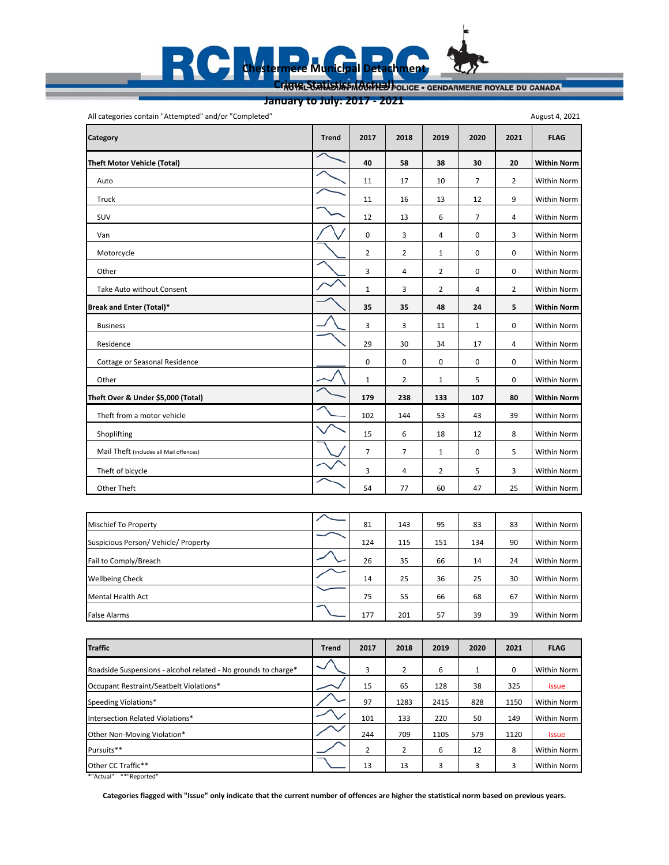### **Chestermere Municipal Detachment** R C Crime Statistics (Actual) **OLICE · GENDARMERIE ROYALE DU CANADA**

**January to July: 2017 ‐ 2021**

All categories contain "Attempted" and/or "Completed" **Category Trend 2017 2018 2019 2020 2021 FLAG Theft Motor Vehicle (Total) 40 58 38 30 20 Within Norm** Auto 11 17 10 7 2 Within Norm Truck 11 16 13 12 9 Within Norm SUV 12 13 6 7 4 Within Norm Van 03403 Within Norm Motorcycle 22100 Within Norm Other 34200 Within Norm Take Auto without Consent 13242 Within Norm **Break and Enter (Total)\* 35 35 48 24 5 Within Norm** Business 3 3 11 1 0 Within Norm Residence 29 30 34 17 4 Within Norm Cottage or Seasonal Residence **1988 Cottage or Seasonal Residence** 1000 Within Norm Other 2011 1 2 1 1 2 1 1 5 1 0 Within Norm **Theft Over & Under \$5,000 (Total) 179 238 133 107 80 Within Norm** Theft from a motor vehicle 102 | 102 | 144 | 53 | 43 | 39 | Within Norm Shoplifting 15 6 18 12 8 Within Norm Mail Theft (includes all Mail offences) 77105 Within Norm Theft of bicycle **1990 Contract Contract Contract Property** Contract Number 2025 Number 2025 September 2025 Within Norm Other Theft 54 77 60 47 25 Within Norm 2011 19:50 19:50 19:50 19:50 19:50 19:50 19:50 19:50 19:50 19:50 19:50 1 August 4, 2021

| <b>Mischief To Property</b>        | 81  | 143 | 95  | 83  | 83 | Within Norm |
|------------------------------------|-----|-----|-----|-----|----|-------------|
| Suspicious Person/Vehicle/Property | 124 | 115 | 151 | 134 | 90 | Within Norm |
| Fail to Comply/Breach              | 26  | 35  | 66  | 14  | 24 | Within Norm |
| <b>Wellbeing Check</b>             | 14  | 25  | 36  | 25  | 30 | Within Norm |
| Mental Health Act                  | 75  | 55  | 66  | 68  | 67 | Within Norm |
| <b>False Alarms</b>                | 177 | 201 | 57  | 39  | 39 | Within Norm |

| <b>Traffic</b>                                                 | <b>Trend</b>             | 2017           | 2018           | 2019 | 2020 | 2021 | <b>FLAG</b>        |
|----------------------------------------------------------------|--------------------------|----------------|----------------|------|------|------|--------------------|
| Roadside Suspensions - alcohol related - No grounds to charge* | $\overline{\phantom{0}}$ | 3              | 2              | 6    |      | 0    | <b>Within Norm</b> |
| Occupant Restraint/Seatbelt Violations*                        |                          | 15             | 65             | 128  | 38   | 325  | <b>Issue</b>       |
| Speeding Violations*                                           |                          | 97             | 1283           | 2415 | 828  | 1150 | Within Norm        |
| Intersection Related Violations*                               |                          | 101            | 133            | 220  | 50   | 149  | <b>Within Norm</b> |
| Other Non-Moving Violation*                                    |                          | 244            | 709            | 1105 | 579  | 1120 | <b>Issue</b>       |
| Pursuits**                                                     |                          | $\overline{2}$ | $\overline{2}$ | 6    | 12   | 8    | <b>Within Norm</b> |
| Other CC Traffic**                                             |                          | 13             | 13             | 3    | 3    | 3    | <b>Within Norm</b> |

\*"Actual" \*\*"Reported"

**Categories flagged with "Issue" only indicate that the current number of offences are higher the statistical norm based on previous years.**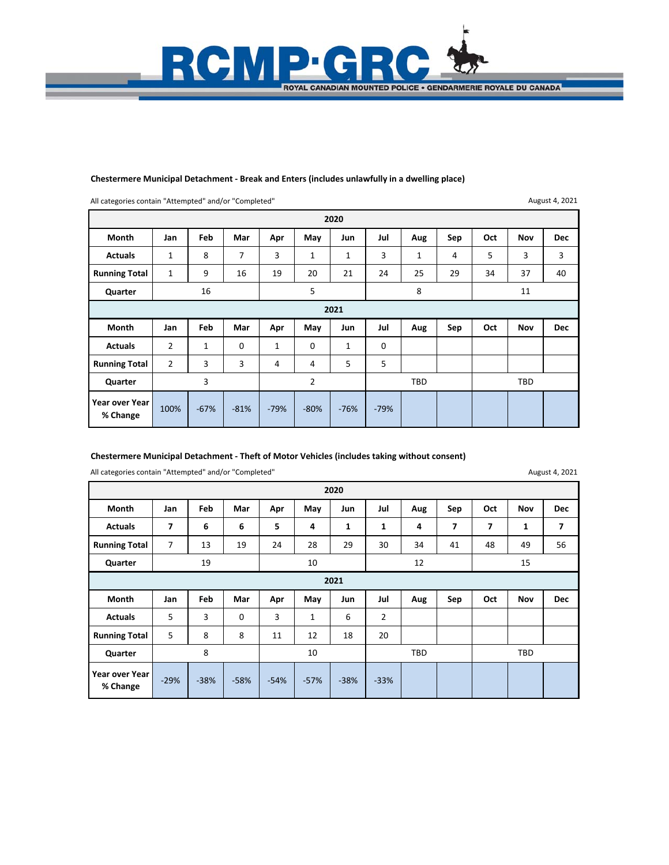

#### **Chestermere Municipal Detachment ‐ Break and Enters (includes unlawfully in a dwelling place)**

All categories contain "Attempted" and/or "Completed"

August 4, 2021

|                            | 2020                                            |              |        |              |        |              |             |              |     |     |            |            |  |
|----------------------------|-------------------------------------------------|--------------|--------|--------------|--------|--------------|-------------|--------------|-----|-----|------------|------------|--|
| Month                      | Jan                                             | Feb          | Mar    | Apr          | May    | Jun          | Jul         | Aug          | Sep | Oct | <b>Nov</b> | <b>Dec</b> |  |
| <b>Actuals</b>             | $\mathbf{1}$                                    | 8            | 7      | 3            | 1      | $\mathbf{1}$ | 3           | $\mathbf{1}$ | 4   | 5   | 3          | 3          |  |
| <b>Running Total</b>       | 1                                               | 9            | 16     | 19           | 20     | 21           | 24          | 25           | 29  | 34  | 37         | 40         |  |
| Quarter                    | 5<br>8<br>16<br>11                              |              |        |              |        |              |             |              |     |     |            |            |  |
| 2021                       |                                                 |              |        |              |        |              |             |              |     |     |            |            |  |
| <b>Month</b>               | Jan                                             | Feb          | Mar    | Apr          | May    | Jun          | Jul         | Aug          | Sep | Oct | <b>Nov</b> | <b>Dec</b> |  |
| <b>Actuals</b>             | $\overline{2}$                                  | $\mathbf{1}$ | 0      | $\mathbf{1}$ | 0      | $\mathbf{1}$ | $\mathbf 0$ |              |     |     |            |            |  |
| <b>Running Total</b>       | $\overline{2}$                                  | 3            | 3      | 4            | 4      | 5            | 5           |              |     |     |            |            |  |
| Quarter                    | 3<br>$\overline{2}$<br><b>TBD</b><br><b>TBD</b> |              |        |              |        |              |             |              |     |     |            |            |  |
| Year over Year<br>% Change | 100%                                            | $-67%$       | $-81%$ | $-79%$       | $-80%$ | $-76%$       | $-79%$      |              |     |     |            |            |  |

#### **Chestermere Municipal Detachment ‐ Theft of Motor Vehicles (includes taking without consent)**

All categories contain "Attempted" and/or "Completed"

August 4, 2021

|                            | 2020   |        |        |        |        |        |                          |     |     |     |            |            |  |
|----------------------------|--------|--------|--------|--------|--------|--------|--------------------------|-----|-----|-----|------------|------------|--|
| Month                      | Jan    | Feb    | Mar    | Apr    | May    | Jun    | Jul                      | Aug | Sep | Oct | <b>Nov</b> | <b>Dec</b> |  |
| <b>Actuals</b>             | 7      | 6      | 6      | 5      | 4      | 1      | 1                        | 4   | 7   | 7   | 1          | 7          |  |
| <b>Running Total</b>       | 7      | 13     | 19     | 24     | 28     | 29     | 30                       | 34  | 41  | 48  | 49         | 56         |  |
| Quarter                    |        | 19     |        |        | 10     |        |                          | 12  |     | 15  |            |            |  |
| 2021                       |        |        |        |        |        |        |                          |     |     |     |            |            |  |
| Month                      | Jan    | Feb    | Mar    | Apr    | May    | Jun    | Jul                      | Aug | Sep | Oct | Nov        | <b>Dec</b> |  |
| <b>Actuals</b>             | 5      | 3      | 0      | 3      | 1      | 6      | 2                        |     |     |     |            |            |  |
| <b>Running Total</b>       | 5      | 8      | 8      | 11     | 12     | 18     | 20                       |     |     |     |            |            |  |
| Quarter                    |        | 8      |        |        | 10     |        | <b>TBD</b><br><b>TBD</b> |     |     |     |            |            |  |
| Year over Year<br>% Change | $-29%$ | $-38%$ | $-58%$ | $-54%$ | $-57%$ | $-38%$ | $-33%$                   |     |     |     |            |            |  |